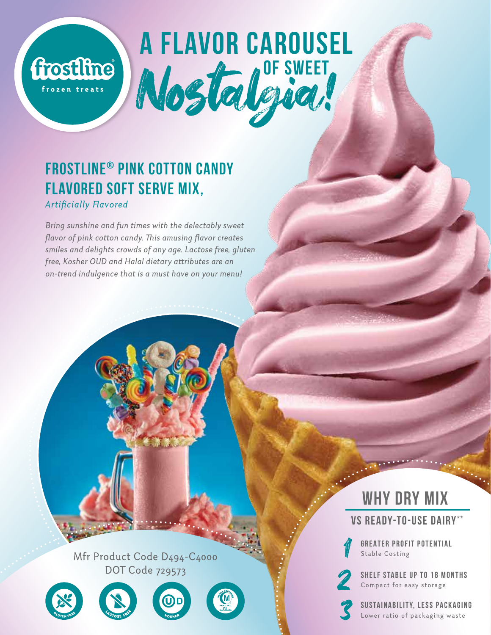# **A FLAVOR CAROUSEL OF SWEET** Nostalgia!

## **Frostline® Pink Cotton Candy Flavored Soft Serve Mix, Artificially Flavored**

frostline

frozen treats

*Bring sunshine and fun times with the delectably sweet*  flavor of pink cotton candy. This amusing flavor creates *smiles and delights crowds of any age. Lactose free, gluten*  free, Kosher OUD and Halal dietary attributes are an *on-trend indulgence that is a must have on your menu!* 

> Mfr Product Code D494-C4000 DOT Code 729573









**WHY DRY MIX** 



**GREATER PROFIT POTENTIAL**<br>Stable Costing

**SHELF STABLE UP TO 18 MONTHS**<br>Compact for easy storage<br>**SUSTAINABILITY, LESS PACKAGING** 

Lower ratio of packaging waste